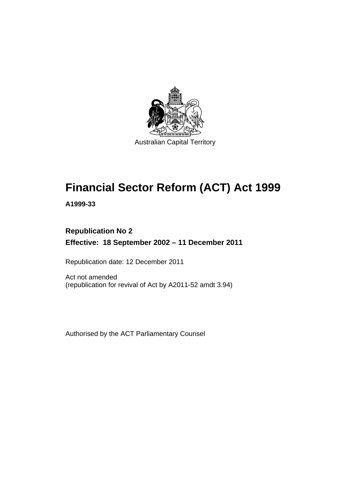

# **Financial Sector Reform (ACT) Act 1999**

**A1999-33** 

# **Republication No 2 Effective: 18 September 2002 – 11 December 2011**

Republication date: 12 December 2011

Act not amended (republication for revival of Act by A2011-52 amdt 3.94)

Authorised by the ACT Parliamentary Counsel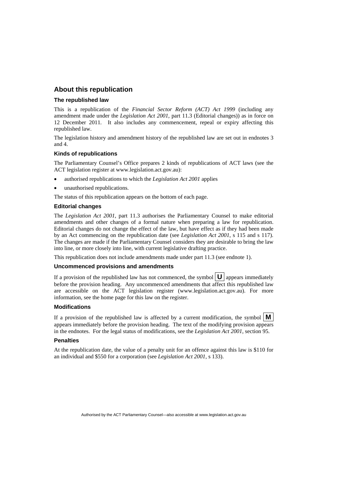#### **About this republication**

#### **The republished law**

This is a republication of the *Financial Sector Reform (ACT) Act 1999* (including any amendment made under the *Legislation Act 2001*, part 11.3 (Editorial changes)) as in force on 12 December 2011*.* It also includes any commencement, repeal or expiry affecting this republished law.

The legislation history and amendment history of the republished law are set out in endnotes 3 and 4.

#### **Kinds of republications**

The Parliamentary Counsel's Office prepares 2 kinds of republications of ACT laws (see the ACT legislation register at www.legislation.act.gov.au):

- authorised republications to which the *Legislation Act 2001* applies
- unauthorised republications.

The status of this republication appears on the bottom of each page.

#### **Editorial changes**

The *Legislation Act 2001*, part 11.3 authorises the Parliamentary Counsel to make editorial amendments and other changes of a formal nature when preparing a law for republication. Editorial changes do not change the effect of the law, but have effect as if they had been made by an Act commencing on the republication date (see *Legislation Act 2001*, s 115 and s 117). The changes are made if the Parliamentary Counsel considers they are desirable to bring the law into line, or more closely into line, with current legislative drafting practice.

This republication does not include amendments made under part 11.3 (see endnote 1).

#### **Uncommenced provisions and amendments**

If a provision of the republished law has not commenced, the symbol  $\mathbf{U}$  appears immediately before the provision heading. Any uncommenced amendments that affect this republished law are accessible on the ACT legislation register (www.legislation.act.gov.au). For more information, see the home page for this law on the register.

#### **Modifications**

If a provision of the republished law is affected by a current modification, the symbol  $\mathbf{M}$ appears immediately before the provision heading. The text of the modifying provision appears in the endnotes. For the legal status of modifications, see the *Legislation Act 2001*, section 95.

#### **Penalties**

At the republication date, the value of a penalty unit for an offence against this law is \$110 for an individual and \$550 for a corporation (see *Legislation Act 2001*, s 133).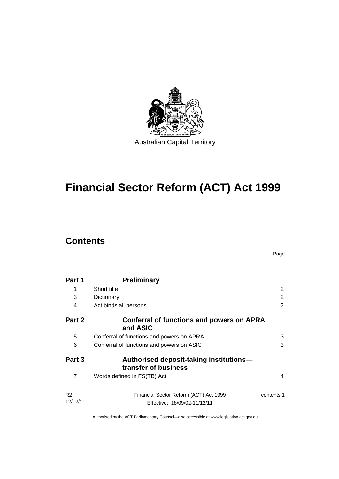

# **Financial Sector Reform (ACT) Act 1999**

# **Contents**

Page

| Part 1                     | <b>Preliminary</b>                                                     |                |
|----------------------------|------------------------------------------------------------------------|----------------|
| 1                          | Short title                                                            | $\overline{2}$ |
| 3                          | Dictionary                                                             | 2              |
| 4                          | Act binds all persons                                                  | 2              |
| Part 2                     | <b>Conferral of functions and powers on APRA</b><br>and ASIC           |                |
| 5                          | Conferral of functions and powers on APRA                              | 3              |
| 6                          | Conferral of functions and powers on ASIC                              | 3              |
| Part 3                     | Authorised deposit-taking institutions-<br>transfer of business        |                |
| 7                          | Words defined in FS(TB) Act                                            | 4              |
| R <sub>2</sub><br>12/12/11 | Financial Sector Reform (ACT) Act 1999<br>Effective: 18/09/02-11/12/11 | contents 1     |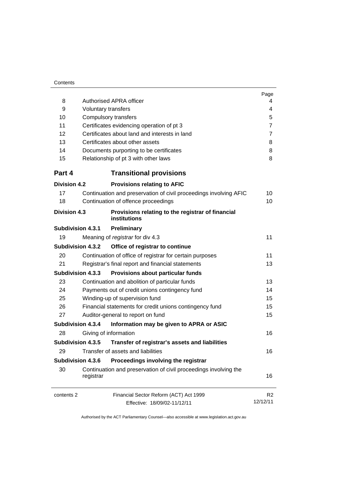| 8                        | <b>Authorised APRA officer</b>                                                   | Page           |  |  |  |
|--------------------------|----------------------------------------------------------------------------------|----------------|--|--|--|
| 9                        | 4<br>4                                                                           |                |  |  |  |
| 10                       | <b>Voluntary transfers</b>                                                       |                |  |  |  |
| 11                       | Compulsory transfers                                                             |                |  |  |  |
| 12                       | Certificates evidencing operation of pt 3                                        |                |  |  |  |
| 13                       | Certificates about land and interests in land<br>Certificates about other assets |                |  |  |  |
| 14                       |                                                                                  |                |  |  |  |
| 15                       | Documents purporting to be certificates<br>Relationship of pt 3 with other laws  |                |  |  |  |
| Part 4                   | <b>Transitional provisions</b>                                                   |                |  |  |  |
| <b>Division 4.2</b>      | <b>Provisions relating to AFIC</b>                                               |                |  |  |  |
| 17                       | Continuation and preservation of civil proceedings involving AFIC                | 10             |  |  |  |
| 18                       | Continuation of offence proceedings                                              | 10             |  |  |  |
| <b>Division 4.3</b>      | Provisions relating to the registrar of financial<br><b>institutions</b>         |                |  |  |  |
| <b>Subdivision 4.3.1</b> | Preliminary                                                                      |                |  |  |  |
| 19                       | Meaning of registrar for div 4.3                                                 | 11             |  |  |  |
| <b>Subdivision 4.3.2</b> | Office of registrar to continue                                                  |                |  |  |  |
| 20                       | Continuation of office of registrar for certain purposes                         |                |  |  |  |
| 21                       | Registrar's final report and financial statements                                |                |  |  |  |
| <b>Subdivision 4.3.3</b> | Provisions about particular funds                                                |                |  |  |  |
| 23                       | Continuation and abolition of particular funds                                   | 13             |  |  |  |
| 24                       | Payments out of credit unions contingency fund                                   | 14             |  |  |  |
| 25                       | Winding-up of supervision fund                                                   | 15             |  |  |  |
| 26                       | Financial statements for credit unions contingency fund                          | 15             |  |  |  |
| 27                       | Auditor-general to report on fund                                                |                |  |  |  |
| <b>Subdivision 4.3.4</b> | Information may be given to APRA or ASIC                                         |                |  |  |  |
| 28                       | Giving of information                                                            | 16             |  |  |  |
| Subdivision 4.3.5        | Transfer of registrar's assets and liabilities                                   |                |  |  |  |
| 29                       | Transfer of assets and liabilities                                               | 16             |  |  |  |
| <b>Subdivision 4.3.6</b> | Proceedings involving the registrar                                              |                |  |  |  |
| 30                       | Continuation and preservation of civil proceedings involving the<br>registrar    | 16             |  |  |  |
| contents 2               | Financial Sector Reform (ACT) Act 1999                                           | R <sub>2</sub> |  |  |  |
|                          | Effective: 18/09/02-11/12/11                                                     | 12/12/11       |  |  |  |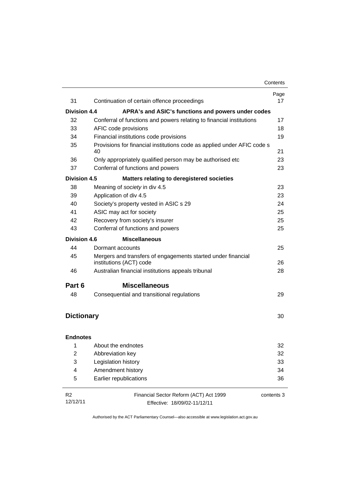|                     |                                                                                         | Page       |  |  |
|---------------------|-----------------------------------------------------------------------------------------|------------|--|--|
| 31                  | 17                                                                                      |            |  |  |
| <b>Division 4.4</b> | APRA's and ASIC's functions and powers under codes                                      |            |  |  |
| 32                  | Conferral of functions and powers relating to financial institutions                    | 17         |  |  |
| 33                  | AFIC code provisions                                                                    | 18         |  |  |
| 34                  | Financial institutions code provisions                                                  | 19         |  |  |
| 35                  | Provisions for financial institutions code as applied under AFIC code s<br>40           | 21         |  |  |
| 36                  | Only appropriately qualified person may be authorised etc                               | 23         |  |  |
| 37                  | Conferral of functions and powers                                                       |            |  |  |
| <b>Division 4.5</b> | <b>Matters relating to deregistered societies</b>                                       |            |  |  |
| 38                  | Meaning of society in div 4.5                                                           | 23         |  |  |
| 39                  | Application of div 4.5                                                                  | 23         |  |  |
| 40                  | Society's property vested in ASIC s 29                                                  | 24         |  |  |
| 41                  | ASIC may act for society                                                                |            |  |  |
| 42                  | Recovery from society's insurer                                                         |            |  |  |
| 43                  | Conferral of functions and powers                                                       | 25         |  |  |
| <b>Division 4.6</b> | <b>Miscellaneous</b>                                                                    |            |  |  |
| 44                  | Dormant accounts                                                                        | 25         |  |  |
| 45                  | Mergers and transfers of engagements started under financial<br>institutions (ACT) code | 26         |  |  |
| 46                  | Australian financial institutions appeals tribunal                                      | 28         |  |  |
| Part 6              | <b>Miscellaneous</b>                                                                    |            |  |  |
| 48                  | Consequential and transitional regulations                                              | 29         |  |  |
| <b>Dictionary</b>   |                                                                                         | 30         |  |  |
| <b>Endnotes</b>     |                                                                                         |            |  |  |
| 1.                  | About the endnotes                                                                      | 32         |  |  |
| 2                   | Abbreviation key                                                                        | 32         |  |  |
| 3                   | Legislation history                                                                     | 33         |  |  |
| 4                   | Amendment history                                                                       | 34         |  |  |
| 5                   | Earlier republications                                                                  | 36         |  |  |
| R <sub>2</sub>      | Financial Sector Reform (ACT) Act 1999                                                  | contents 3 |  |  |
| 12/12/11            | Effective: 18/09/02-11/12/11                                                            |            |  |  |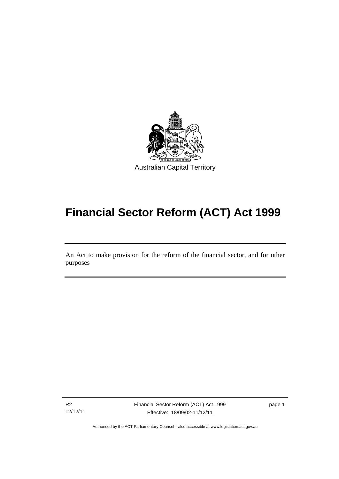

# **Financial Sector Reform (ACT) Act 1999**

An Act to make provision for the reform of the financial sector, and for other purposes

R2 12/12/11

l

Financial Sector Reform (ACT) Act 1999 Effective: 18/09/02-11/12/11

page 1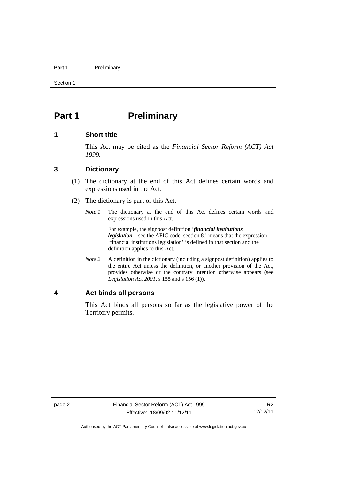#### Part 1 **Preliminary**

Section 1

# <span id="page-7-0"></span>**Part 1** Preliminary

#### <span id="page-7-1"></span>**1 Short title**

This Act may be cited as the *Financial Sector Reform (ACT) Act 1999.*

#### <span id="page-7-2"></span>**3 Dictionary**

- (1) The dictionary at the end of this Act defines certain words and expressions used in the Act.
- (2) The dictionary is part of this Act.
	- *Note 1* The dictionary at the end of this Act defines certain words and expressions used in this Act.

 For example, the signpost definition '*financial institutions legislation—*see the AFIC code, section 8.' means that the expression 'financial institutions legislation' is defined in that section and the definition applies to this Act.

*Note 2* A definition in the dictionary (including a signpost definition) applies to the entire Act unless the definition, or another provision of the Act, provides otherwise or the contrary intention otherwise appears (see *Legislation Act 2001*, s 155 and s 156 (1)).

#### <span id="page-7-3"></span>**4 Act binds all persons**

This Act binds all persons so far as the legislative power of the Territory permits.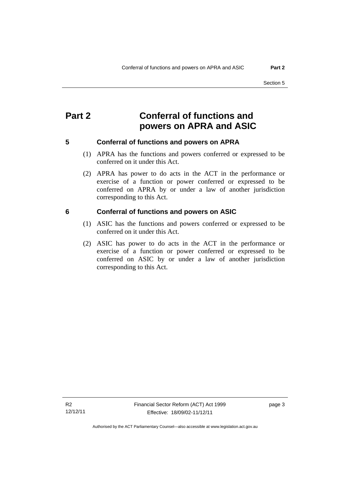# <span id="page-8-0"></span>**Part 2 Conferral of functions and powers on APRA and ASIC**

<span id="page-8-1"></span>

#### **5 Conferral of functions and powers on APRA**

- (1) APRA has the functions and powers conferred or expressed to be conferred on it under this Act.
- (2) APRA has power to do acts in the ACT in the performance or exercise of a function or power conferred or expressed to be conferred on APRA by or under a law of another jurisdiction corresponding to this Act.

#### <span id="page-8-2"></span>**6 Conferral of functions and powers on ASIC**

- (1) ASIC has the functions and powers conferred or expressed to be conferred on it under this Act.
- (2) ASIC has power to do acts in the ACT in the performance or exercise of a function or power conferred or expressed to be conferred on ASIC by or under a law of another jurisdiction corresponding to this Act.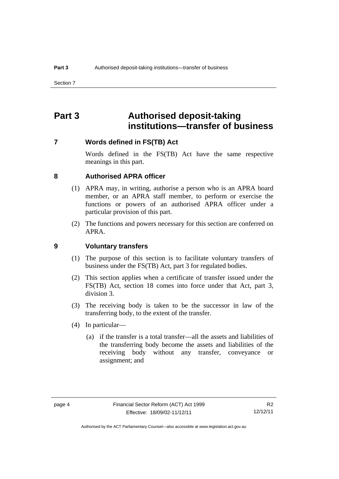# <span id="page-9-0"></span>**Part 3 Authorised deposit-taking institutions—transfer of business**

#### <span id="page-9-1"></span>**7 Words defined in FS(TB) Act**

Words defined in the FS(TB) Act have the same respective meanings in this part.

#### <span id="page-9-2"></span>**8 Authorised APRA officer**

- (1) APRA may, in writing, authorise a person who is an APRA board member, or an APRA staff member, to perform or exercise the functions or powers of an authorised APRA officer under a particular provision of this part.
- (2) The functions and powers necessary for this section are conferred on APRA.

#### <span id="page-9-3"></span>**9 Voluntary transfers**

- (1) The purpose of this section is to facilitate voluntary transfers of business under the FS(TB) Act, part 3 for regulated bodies.
- (2) This section applies when a certificate of transfer issued under the FS(TB) Act, section 18 comes into force under that Act, part 3, division 3.
- (3) The receiving body is taken to be the successor in law of the transferring body, to the extent of the transfer.
- (4) In particular—
	- (a) if the transfer is a total transfer—all the assets and liabilities of the transferring body become the assets and liabilities of the receiving body without any transfer, conveyance or assignment; and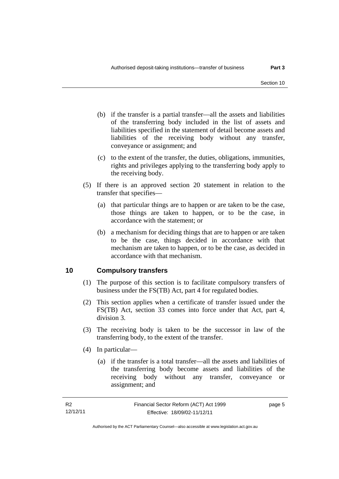- (b) if the transfer is a partial transfer—all the assets and liabilities of the transferring body included in the list of assets and liabilities specified in the statement of detail become assets and liabilities of the receiving body without any transfer, conveyance or assignment; and
- (c) to the extent of the transfer, the duties, obligations, immunities, rights and privileges applying to the transferring body apply to the receiving body.
- (5) If there is an approved section 20 statement in relation to the transfer that specifies—
	- (a) that particular things are to happen or are taken to be the case, those things are taken to happen, or to be the case, in accordance with the statement; or
	- (b) a mechanism for deciding things that are to happen or are taken to be the case, things decided in accordance with that mechanism are taken to happen, or to be the case, as decided in accordance with that mechanism.

## <span id="page-10-0"></span>**10 Compulsory transfers**

- (1) The purpose of this section is to facilitate compulsory transfers of business under the FS(TB) Act, part 4 for regulated bodies.
- (2) This section applies when a certificate of transfer issued under the FS(TB) Act, section 33 comes into force under that Act, part 4, division 3.
- (3) The receiving body is taken to be the successor in law of the transferring body, to the extent of the transfer.
- (4) In particular—
	- (a) if the transfer is a total transfer—all the assets and liabilities of the transferring body become assets and liabilities of the receiving body without any transfer, conveyance or assignment; and

page 5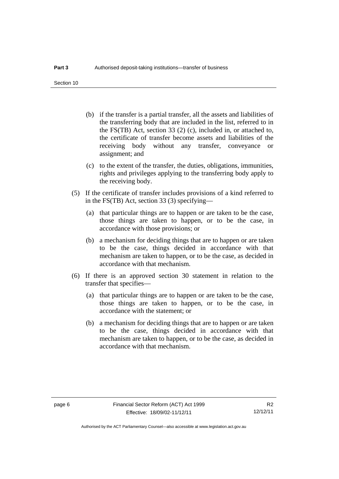Section 10

- (b) if the transfer is a partial transfer, all the assets and liabilities of the transferring body that are included in the list, referred to in the FS(TB) Act, section 33 (2) (c), included in, or attached to, the certificate of transfer become assets and liabilities of the receiving body without any transfer, conveyance or assignment; and
- (c) to the extent of the transfer, the duties, obligations, immunities, rights and privileges applying to the transferring body apply to the receiving body.
- (5) If the certificate of transfer includes provisions of a kind referred to in the FS(TB) Act, section 33 (3) specifying—
	- (a) that particular things are to happen or are taken to be the case, those things are taken to happen, or to be the case, in accordance with those provisions; or
	- (b) a mechanism for deciding things that are to happen or are taken to be the case, things decided in accordance with that mechanism are taken to happen, or to be the case, as decided in accordance with that mechanism.
- (6) If there is an approved section 30 statement in relation to the transfer that specifies—
	- (a) that particular things are to happen or are taken to be the case, those things are taken to happen, or to be the case, in accordance with the statement; or
	- (b) a mechanism for deciding things that are to happen or are taken to be the case, things decided in accordance with that mechanism are taken to happen, or to be the case, as decided in accordance with that mechanism.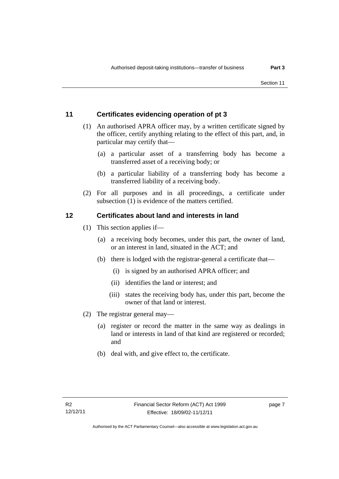## <span id="page-12-0"></span>**11 Certificates evidencing operation of pt 3**

- (1) An authorised APRA officer may, by a written certificate signed by the officer, certify anything relating to the effect of this part, and, in particular may certify that—
	- (a) a particular asset of a transferring body has become a transferred asset of a receiving body; or
	- (b) a particular liability of a transferring body has become a transferred liability of a receiving body.
- (2) For all purposes and in all proceedings, a certificate under subsection (1) is evidence of the matters certified.

## <span id="page-12-1"></span>**12 Certificates about land and interests in land**

- (1) This section applies if—
	- (a) a receiving body becomes, under this part, the owner of land, or an interest in land, situated in the ACT; and
	- (b) there is lodged with the registrar-general a certificate that—
		- (i) is signed by an authorised APRA officer; and
		- (ii) identifies the land or interest; and
		- (iii) states the receiving body has, under this part, become the owner of that land or interest.
- (2) The registrar general may—
	- (a) register or record the matter in the same way as dealings in land or interests in land of that kind are registered or recorded; and
	- (b) deal with, and give effect to, the certificate.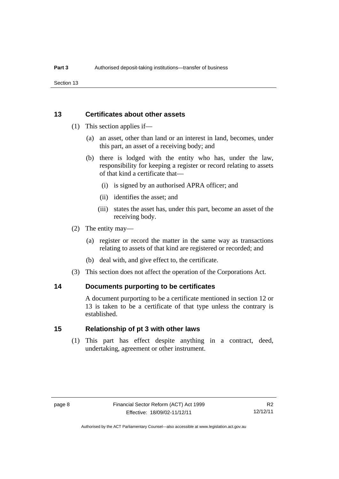Section 13

#### <span id="page-13-0"></span>**13 Certificates about other assets**

- (1) This section applies if—
	- (a) an asset, other than land or an interest in land, becomes, under this part, an asset of a receiving body; and
	- (b) there is lodged with the entity who has, under the law, responsibility for keeping a register or record relating to assets of that kind a certificate that—
		- (i) is signed by an authorised APRA officer; and
		- (ii) identifies the asset; and
		- (iii) states the asset has, under this part, become an asset of the receiving body.
- (2) The entity may—
	- (a) register or record the matter in the same way as transactions relating to assets of that kind are registered or recorded; and
	- (b) deal with, and give effect to, the certificate.
- (3) This section does not affect the operation of the Corporations Act.

#### <span id="page-13-1"></span>**14 Documents purporting to be certificates**

A document purporting to be a certificate mentioned in section 12 or 13 is taken to be a certificate of that type unless the contrary is established.

#### <span id="page-13-2"></span>**15 Relationship of pt 3 with other laws**

(1) This part has effect despite anything in a contract, deed, undertaking, agreement or other instrument.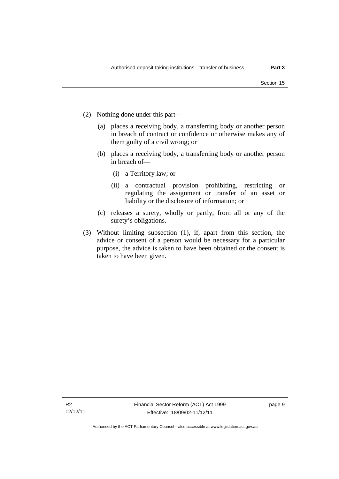- (2) Nothing done under this part—
	- (a) places a receiving body, a transferring body or another person in breach of contract or confidence or otherwise makes any of them guilty of a civil wrong; or
	- (b) places a receiving body, a transferring body or another person in breach of—
		- (i) a Territory law; or
		- (ii) a contractual provision prohibiting, restricting or regulating the assignment or transfer of an asset or liability or the disclosure of information; or
	- (c) releases a surety, wholly or partly, from all or any of the surety's obligations.
- (3) Without limiting subsection (1), if, apart from this section, the advice or consent of a person would be necessary for a particular purpose, the advice is taken to have been obtained or the consent is taken to have been given.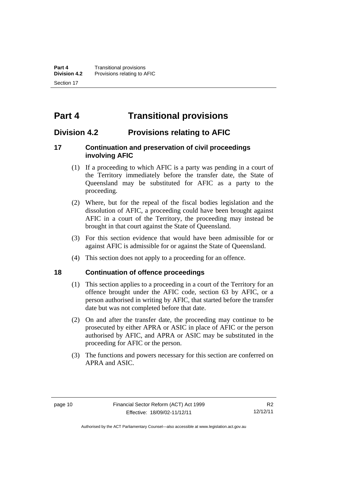# <span id="page-15-0"></span>**Part 4 Transitional provisions**

# <span id="page-15-1"></span>**Division 4.2 Provisions relating to AFIC**

## <span id="page-15-2"></span>**17 Continuation and preservation of civil proceedings involving AFIC**

- (1) If a proceeding to which AFIC is a party was pending in a court of the Territory immediately before the transfer date, the State of Queensland may be substituted for AFIC as a party to the proceeding.
- (2) Where, but for the repeal of the fiscal bodies legislation and the dissolution of AFIC, a proceeding could have been brought against AFIC in a court of the Territory, the proceeding may instead be brought in that court against the State of Queensland.
- (3) For this section evidence that would have been admissible for or against AFIC is admissible for or against the State of Queensland.
- (4) This section does not apply to a proceeding for an offence.

#### <span id="page-15-3"></span>**18 Continuation of offence proceedings**

- (1) This section applies to a proceeding in a court of the Territory for an offence brought under the AFIC code, section 63 by AFIC, or a person authorised in writing by AFIC, that started before the transfer date but was not completed before that date.
- (2) On and after the transfer date, the proceeding may continue to be prosecuted by either APRA or ASIC in place of AFIC or the person authorised by AFIC, and APRA or ASIC may be substituted in the proceeding for AFIC or the person.
- (3) The functions and powers necessary for this section are conferred on APRA and ASIC.

Authorised by the ACT Parliamentary Counsel—also accessible at www.legislation.act.gov.au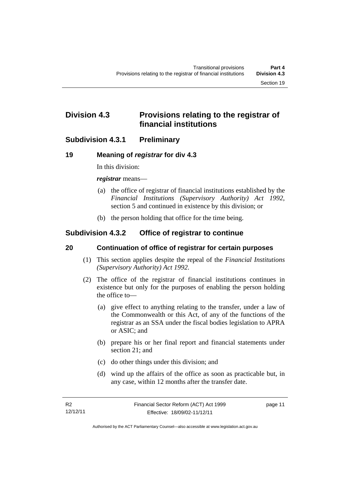# <span id="page-16-0"></span>**Division 4.3 Provisions relating to the registrar of financial institutions**

# <span id="page-16-1"></span>**Subdivision 4.3.1 Preliminary**

# <span id="page-16-2"></span>**19 Meaning of** *registrar* **for div 4.3**

In this division:

*registrar* means—

- (a) the office of registrar of financial institutions established by the *Financial Institutions (Supervisory Authority) Act 1992*, section 5 and continued in existence by this division; or
- (b) the person holding that office for the time being.

# <span id="page-16-3"></span>**Subdivision 4.3.2 Office of registrar to continue**

## <span id="page-16-4"></span>**20 Continuation of office of registrar for certain purposes**

- (1) This section applies despite the repeal of the *Financial Institutions (Supervisory Authority) Act 1992*.
- (2) The office of the registrar of financial institutions continues in existence but only for the purposes of enabling the person holding the office to—
	- (a) give effect to anything relating to the transfer, under a law of the Commonwealth or this Act, of any of the functions of the registrar as an SSA under the fiscal bodies legislation to APRA or ASIC; and
	- (b) prepare his or her final report and financial statements under section 21; and
	- (c) do other things under this division; and
	- (d) wind up the affairs of the office as soon as practicable but, in any case, within 12 months after the transfer date.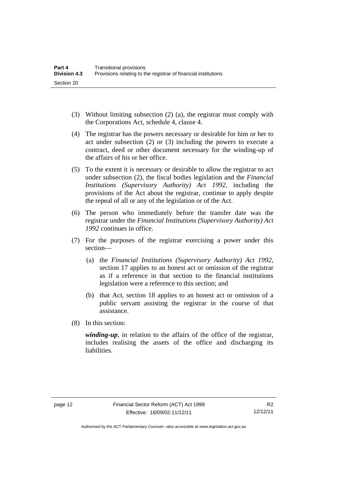- (3) Without limiting subsection (2) (a), the registrar must comply with the Corporations Act, schedule 4, clause 4.
- (4) The registrar has the powers necessary or desirable for him or her to act under subsection (2) or (3) including the powers to execute a contract, deed or other document necessary for the winding-up of the affairs of his or her office.
- (5) To the extent it is necessary or desirable to allow the registrar to act under subsection (2), the fiscal bodies legislation and the *Financial Institutions (Supervisory Authority) Act 1992,* including the provisions of the Act about the registrar, continue to apply despite the repeal of all or any of the legislation or of the Act.
- (6) The person who immediately before the transfer date was the registrar under the *Financial Institutions (Supervisory Authority) Act 1992* continues in office.
- (7) For the purposes of the registrar exercising a power under this section—
	- (a) the *Financial Institutions (Supervisory Authority) Act 1992*, section 17 applies to an honest act or omission of the registrar as if a reference in that section to the financial institutions legislation were a reference to this section; and
	- (b) that Act, section 18 applies to an honest act or omission of a public servant assisting the registrar in the course of that assistance.
- (8) In this section:

*winding-up*, in relation to the affairs of the office of the registrar, includes realising the assets of the office and discharging its liabilities.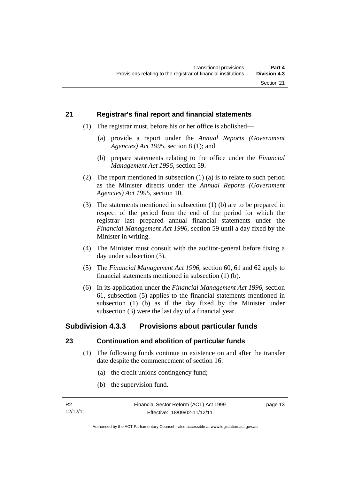#### <span id="page-18-0"></span>**21 Registrar's final report and financial statements**

- (1) The registrar must, before his or her office is abolished—
	- (a) provide a report under the *Annual Reports (Government Agencies) Act 1995*, section 8 (1); and
	- (b) prepare statements relating to the office under the *Financial Management Act 1996*, section 59.
- (2) The report mentioned in subsection (1) (a) is to relate to such period as the Minister directs under the *Annual Reports (Government Agencies) Act 1995*, section 10.
- (3) The statements mentioned in subsection (1) (b) are to be prepared in respect of the period from the end of the period for which the registrar last prepared annual financial statements under the *Financial Management Act 1996*, section 59 until a day fixed by the Minister in writing.
- (4) The Minister must consult with the auditor-general before fixing a day under subsection (3).
- (5) The *Financial Management Act 1996*, section 60, 61 and 62 apply to financial statements mentioned in subsection (1) (b).
- (6) In its application under the *Financial Management Act 1996*, section 61, subsection (5) applies to the financial statements mentioned in subsection (1) (b) as if the day fixed by the Minister under subsection (3) were the last day of a financial year.

# <span id="page-18-1"></span>**Subdivision 4.3.3 Provisions about particular funds**

#### <span id="page-18-2"></span>**23 Continuation and abolition of particular funds**

- (1) The following funds continue in existence on and after the transfer date despite the commencement of section 16:
	- (a) the credit unions contingency fund;
	- (b) the supervision fund.

page 13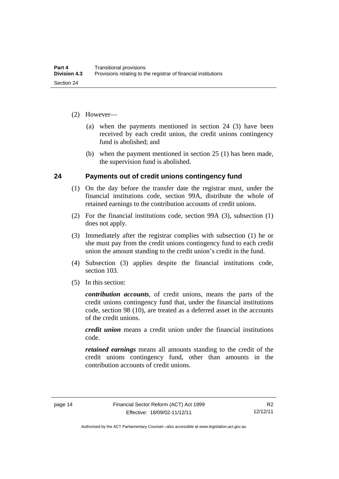- (2) However—
	- (a) when the payments mentioned in section 24 (3) have been received by each credit union, the credit unions contingency fund is abolished; and
	- (b) when the payment mentioned in section 25 (1) has been made, the supervision fund is abolished.

#### <span id="page-19-0"></span>**24 Payments out of credit unions contingency fund**

- (1) On the day before the transfer date the registrar must, under the financial institutions code, section 99A, distribute the whole of retained earnings to the contribution accounts of credit unions.
- (2) For the financial institutions code, section 99A (3), subsection (1) does not apply.
- (3) Immediately after the registrar complies with subsection (1) he or she must pay from the credit unions contingency fund to each credit union the amount standing to the credit union's credit in the fund.
- (4) Subsection (3) applies despite the financial institutions code, section 103.
- (5) In this section:

*contribution accounts*, of credit unions, means the parts of the credit unions contingency fund that, under the financial institutions code, section 98 (10), are treated as a deferred asset in the accounts of the credit unions.

*credit union* means a credit union under the financial institutions code.

*retained earnings* means all amounts standing to the credit of the credit unions contingency fund, other than amounts in the contribution accounts of credit unions.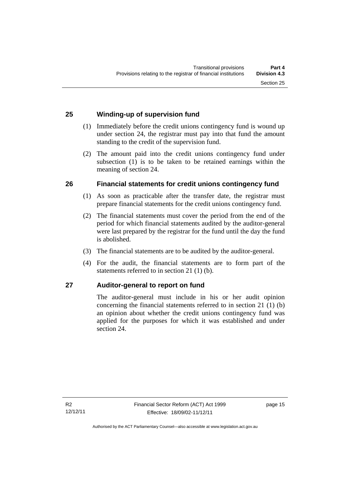# <span id="page-20-0"></span>**25 Winding-up of supervision fund**

- (1) Immediately before the credit unions contingency fund is wound up under section 24, the registrar must pay into that fund the amount standing to the credit of the supervision fund.
- (2) The amount paid into the credit unions contingency fund under subsection (1) is to be taken to be retained earnings within the meaning of section 24.

## <span id="page-20-1"></span>**26 Financial statements for credit unions contingency fund**

- (1) As soon as practicable after the transfer date, the registrar must prepare financial statements for the credit unions contingency fund.
- (2) The financial statements must cover the period from the end of the period for which financial statements audited by the auditor-general were last prepared by the registrar for the fund until the day the fund is abolished.
- (3) The financial statements are to be audited by the auditor-general.
- (4) For the audit, the financial statements are to form part of the statements referred to in section 21 (1) (b).

## <span id="page-20-2"></span>**27 Auditor-general to report on fund**

The auditor-general must include in his or her audit opinion concerning the financial statements referred to in section 21 (1) (b) an opinion about whether the credit unions contingency fund was applied for the purposes for which it was established and under section 24.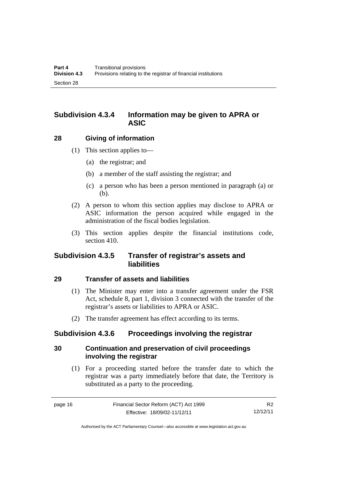# <span id="page-21-0"></span>**Subdivision 4.3.4 Information may be given to APRA or ASIC**

#### <span id="page-21-1"></span>**28 Giving of information**

- (1) This section applies to—
	- (a) the registrar; and
	- (b) a member of the staff assisting the registrar; and
	- (c) a person who has been a person mentioned in paragraph (a) or (b).
- (2) A person to whom this section applies may disclose to APRA or ASIC information the person acquired while engaged in the administration of the fiscal bodies legislation.
- (3) This section applies despite the financial institutions code, section 410.

# <span id="page-21-2"></span>**Subdivision 4.3.5 Transfer of registrar's assets and liabilities**

#### <span id="page-21-3"></span>**29 Transfer of assets and liabilities**

- (1) The Minister may enter into a transfer agreement under the FSR Act, schedule 8, part 1, division 3 connected with the transfer of the registrar's assets or liabilities to APRA or ASIC.
- (2) The transfer agreement has effect according to its terms.

## <span id="page-21-4"></span>**Subdivision 4.3.6 Proceedings involving the registrar**

## <span id="page-21-5"></span>**30 Continuation and preservation of civil proceedings involving the registrar**

 (1) For a proceeding started before the transfer date to which the registrar was a party immediately before that date, the Territory is substituted as a party to the proceeding.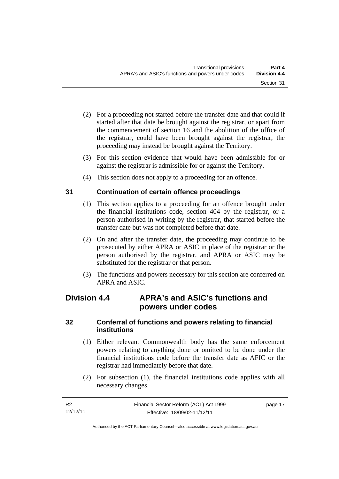- (2) For a proceeding not started before the transfer date and that could if started after that date be brought against the registrar, or apart from the commencement of section 16 and the abolition of the office of the registrar, could have been brought against the registrar, the proceeding may instead be brought against the Territory.
- (3) For this section evidence that would have been admissible for or against the registrar is admissible for or against the Territory.
- (4) This section does not apply to a proceeding for an offence.

# <span id="page-22-0"></span>**31 Continuation of certain offence proceedings**

- (1) This section applies to a proceeding for an offence brought under the financial institutions code, section 404 by the registrar, or a person authorised in writing by the registrar, that started before the transfer date but was not completed before that date.
- (2) On and after the transfer date, the proceeding may continue to be prosecuted by either APRA or ASIC in place of the registrar or the person authorised by the registrar, and APRA or ASIC may be substituted for the registrar or that person.
- (3) The functions and powers necessary for this section are conferred on APRA and ASIC.

# <span id="page-22-1"></span>**Division 4.4 APRA's and ASIC's functions and powers under codes**

## <span id="page-22-2"></span>**32 Conferral of functions and powers relating to financial institutions**

- (1) Either relevant Commonwealth body has the same enforcement powers relating to anything done or omitted to be done under the financial institutions code before the transfer date as AFIC or the registrar had immediately before that date.
- (2) For subsection (1), the financial institutions code applies with all necessary changes.

page 17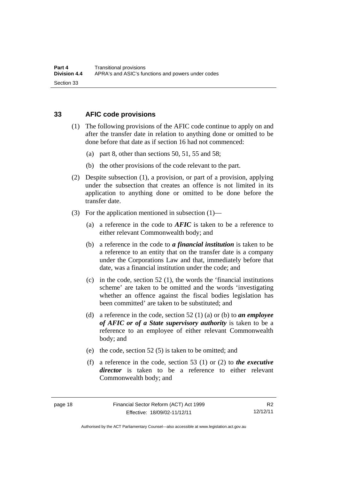#### <span id="page-23-0"></span>**33 AFIC code provisions**

- (1) The following provisions of the AFIC code continue to apply on and after the transfer date in relation to anything done or omitted to be done before that date as if section 16 had not commenced:
	- (a) part 8, other than sections 50, 51, 55 and 58;
	- (b) the other provisions of the code relevant to the part.
- (2) Despite subsection (1), a provision, or part of a provision, applying under the subsection that creates an offence is not limited in its application to anything done or omitted to be done before the transfer date.
- (3) For the application mentioned in subsection (1)—
	- (a) a reference in the code to *AFIC* is taken to be a reference to either relevant Commonwealth body; and
	- (b) a reference in the code to *a financial institution* is taken to be a reference to an entity that on the transfer date is a company under the Corporations Law and that, immediately before that date, was a financial institution under the code; and
	- (c) in the code, section  $52$  (1), the words the 'financial institutions scheme' are taken to be omitted and the words 'investigating whether an offence against the fiscal bodies legislation has been committed' are taken to be substituted; and
	- (d) a reference in the code, section 52 (1) (a) or (b) to *an employee of AFIC or of a State supervisory authority* is taken to be a reference to an employee of either relevant Commonwealth body; and
	- (e) the code, section 52 (5) is taken to be omitted; and
	- (f) a reference in the code, section 53 (1) or (2) to *the executive director* is taken to be a reference to either relevant Commonwealth body; and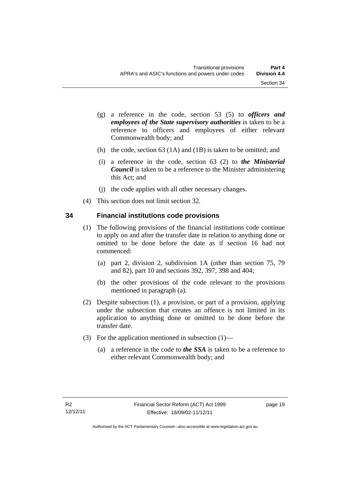- (g) a reference in the code, section 53 (5) to *officers and employees of the State supervisory authorities* is taken to be a reference to officers and employees of either relevant Commonwealth body; and
- (h) the code, section 63 (1A) and (1B) is taken to be omitted; and
- (i) a reference in the code, section 63 (2) to *the Ministerial Council* is taken to be a reference to the Minister administering this Act; and
- (j) the code applies with all other necessary changes.
- (4) This section does not limit section 32.

## <span id="page-24-0"></span>**34 Financial institutions code provisions**

- (1) The following provisions of the financial institutions code continue to apply on and after the transfer date in relation to anything done or omitted to be done before the date as if section 16 had not commenced:
	- (a) part 2, division 2, subdivision 1A (other than section 75, 79 and 82), part 10 and sections 392, 397, 398 and 404;
	- (b) the other provisions of the code relevant to the provisions mentioned in paragraph (a).
- (2) Despite subsection (1), a provision, or part of a provision, applying under the subsection that creates an offence is not limited in its application to anything done or omitted to be done before the transfer date.
- (3) For the application mentioned in subsection (1)—
	- (a) a reference in the code to *the SSA* is taken to be a reference to either relevant Commonwealth body; and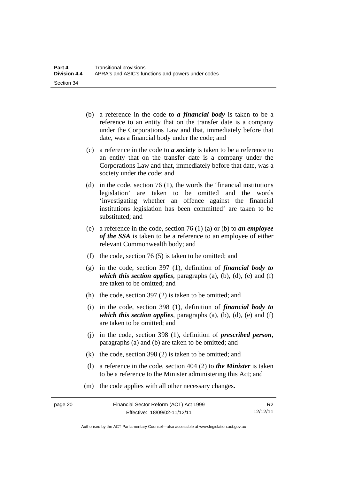- (b) a reference in the code to *a financial body* is taken to be a reference to an entity that on the transfer date is a company under the Corporations Law and that, immediately before that date, was a financial body under the code; and
- (c) a reference in the code to *a society* is taken to be a reference to an entity that on the transfer date is a company under the Corporations Law and that, immediately before that date, was a society under the code; and
- (d) in the code, section 76 (1), the words the 'financial institutions legislation' are taken to be omitted and the words 'investigating whether an offence against the financial institutions legislation has been committed' are taken to be substituted; and
- (e) a reference in the code, section 76 (1) (a) or (b) to *an employee of the SSA* is taken to be a reference to an employee of either relevant Commonwealth body; and
- (f) the code, section 76 (5) is taken to be omitted; and
- (g) in the code, section 397 (1), definition of *financial body to which this section applies*, paragraphs  $(a)$ ,  $(b)$ ,  $(d)$ ,  $(e)$  and  $(f)$ are taken to be omitted; and
- (h) the code, section 397 (2) is taken to be omitted; and
- (i) in the code, section 398 (1), definition of *financial body to which this section applies*, paragraphs  $(a)$ ,  $(b)$ ,  $(d)$ ,  $(e)$  and  $(f)$ are taken to be omitted; and
- (j) in the code, section 398 (1), definition of *prescribed person*, paragraphs (a) and (b) are taken to be omitted; and
- (k) the code, section 398 (2) is taken to be omitted; and
- (l) a reference in the code, section 404 (2) to *the Minister* is taken to be a reference to the Minister administering this Act; and
- (m) the code applies with all other necessary changes.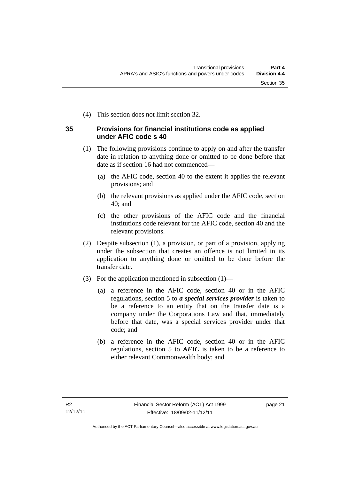(4) This section does not limit section 32.

## <span id="page-26-0"></span>**35 Provisions for financial institutions code as applied under AFIC code s 40**

- (1) The following provisions continue to apply on and after the transfer date in relation to anything done or omitted to be done before that date as if section 16 had not commenced—
	- (a) the AFIC code, section 40 to the extent it applies the relevant provisions; and
	- (b) the relevant provisions as applied under the AFIC code, section 40; and
	- (c) the other provisions of the AFIC code and the financial institutions code relevant for the AFIC code, section 40 and the relevant provisions.
- (2) Despite subsection (1), a provision, or part of a provision, applying under the subsection that creates an offence is not limited in its application to anything done or omitted to be done before the transfer date.
- (3) For the application mentioned in subsection (1)—
	- (a) a reference in the AFIC code, section 40 or in the AFIC regulations, section 5 to *a special services provider* is taken to be a reference to an entity that on the transfer date is a company under the Corporations Law and that, immediately before that date, was a special services provider under that code; and
	- (b) a reference in the AFIC code, section 40 or in the AFIC regulations, section 5 to *AFIC* is taken to be a reference to either relevant Commonwealth body; and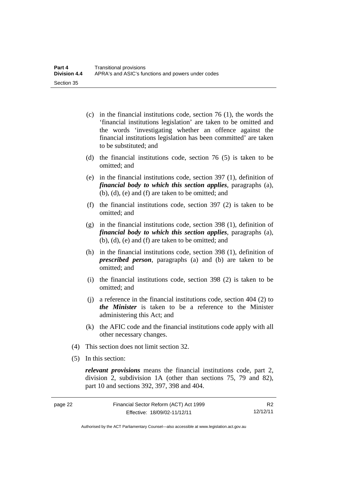- (c) in the financial institutions code, section 76 (1), the words the 'financial institutions legislation' are taken to be omitted and the words 'investigating whether an offence against the financial institutions legislation has been committed' are taken to be substituted; and
- (d) the financial institutions code, section 76 (5) is taken to be omitted; and
- (e) in the financial institutions code, section 397 (1), definition of *financial body to which this section applies*, paragraphs (a), (b), (d), (e) and (f) are taken to be omitted; and
- (f) the financial institutions code, section 397 (2) is taken to be omitted; and
- (g) in the financial institutions code, section 398 (1), definition of *financial body to which this section applies*, paragraphs (a), (b), (d), (e) and (f) are taken to be omitted; and
- (h) in the financial institutions code, section 398 (1), definition of *prescribed person*, paragraphs (a) and (b) are taken to be omitted; and
- (i) the financial institutions code, section 398 (2) is taken to be omitted; and
- (j) a reference in the financial institutions code, section 404 (2) to *the Minister* is taken to be a reference to the Minister administering this Act; and
- (k) the AFIC code and the financial institutions code apply with all other necessary changes.
- (4) This section does not limit section 32.
- (5) In this section:

*relevant provisions* means the financial institutions code, part 2, division 2, subdivision 1A (other than sections 75, 79 and 82), part 10 and sections 392, 397, 398 and 404.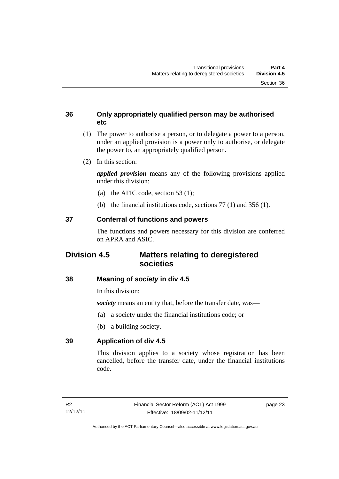### <span id="page-28-0"></span>**36 Only appropriately qualified person may be authorised etc**

- (1) The power to authorise a person, or to delegate a power to a person, under an applied provision is a power only to authorise, or delegate the power to, an appropriately qualified person.
- (2) In this section:

*applied provision* means any of the following provisions applied under this division:

- (a) the AFIC code, section 53 (1);
- (b) the financial institutions code, sections 77 (1) and 356 (1).

# <span id="page-28-1"></span>**37 Conferral of functions and powers**

The functions and powers necessary for this division are conferred on APRA and ASIC.

# <span id="page-28-2"></span>**Division 4.5 Matters relating to deregistered societies**

## <span id="page-28-3"></span>**38 Meaning of** *society* **in div 4.5**

In this division:

*society* means an entity that, before the transfer date, was—

- (a) a society under the financial institutions code; or
- (b) a building society.

## <span id="page-28-4"></span>**39 Application of div 4.5**

This division applies to a society whose registration has been cancelled, before the transfer date, under the financial institutions code.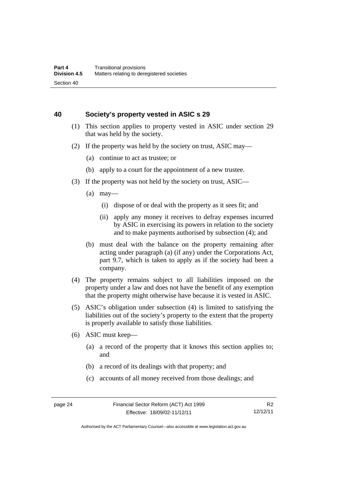#### <span id="page-29-0"></span>**40 Society's property vested in ASIC s 29**

- (1) This section applies to property vested in ASIC under section 29 that was held by the society.
- (2) If the property was held by the society on trust, ASIC may—
	- (a) continue to act as trustee; or
	- (b) apply to a court for the appointment of a new trustee.
- (3) If the property was not held by the society on trust, ASIC—
	- $(a)$  may—
		- (i) dispose of or deal with the property as it sees fit; and
		- (ii) apply any money it receives to defray expenses incurred by ASIC in exercising its powers in relation to the society and to make payments authorised by subsection (4); and
	- (b) must deal with the balance on the property remaining after acting under paragraph (a) (if any) under the Corporations Act, part 9.7, which is taken to apply as if the society had been a company.
- (4) The property remains subject to all liabilities imposed on the property under a law and does not have the benefit of any exemption that the property might otherwise have because it is vested in ASIC.
- (5) ASIC's obligation under subsection (4) is limited to satisfying the liabilities out of the society's property to the extent that the property is properly available to satisfy those liabilities.
- (6) ASIC must keep—
	- (a) a record of the property that it knows this section applies to; and
	- (b) a record of its dealings with that property; and
	- (c) accounts of all money received from those dealings; and

Authorised by the ACT Parliamentary Counsel—also accessible at www.legislation.act.gov.au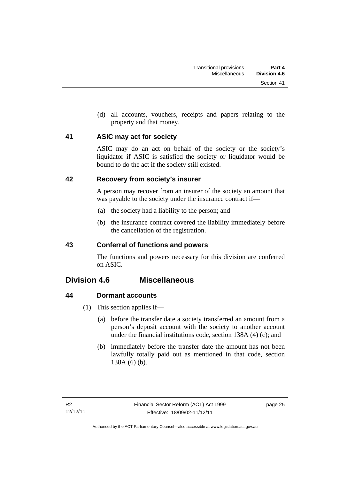(d) all accounts, vouchers, receipts and papers relating to the property and that money.

## <span id="page-30-0"></span>**41 ASIC may act for society**

ASIC may do an act on behalf of the society or the society's liquidator if ASIC is satisfied the society or liquidator would be bound to do the act if the society still existed.

## <span id="page-30-1"></span>**42 Recovery from society's insurer**

A person may recover from an insurer of the society an amount that was payable to the society under the insurance contract if—

- (a) the society had a liability to the person; and
- (b) the insurance contract covered the liability immediately before the cancellation of the registration.

# <span id="page-30-2"></span>**43 Conferral of functions and powers**

The functions and powers necessary for this division are conferred on ASIC.

# <span id="page-30-3"></span>**Division 4.6 Miscellaneous**

# <span id="page-30-4"></span>**44 Dormant accounts**

- (1) This section applies if—
	- (a) before the transfer date a society transferred an amount from a person's deposit account with the society to another account under the financial institutions code, section 138A (4) (c); and
	- (b) immediately before the transfer date the amount has not been lawfully totally paid out as mentioned in that code, section 138A (6) (b).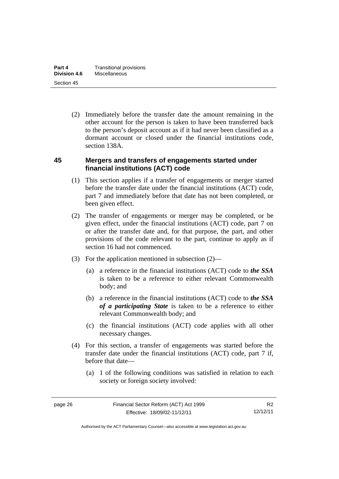(2) Immediately before the transfer date the amount remaining in the other account for the person is taken to have been transferred back to the person's deposit account as if it had never been classified as a dormant account or closed under the financial institutions code, section 138A.

#### <span id="page-31-0"></span>**45 Mergers and transfers of engagements started under financial institutions (ACT) code**

- (1) This section applies if a transfer of engagements or merger started before the transfer date under the financial institutions (ACT) code, part 7 and immediately before that date has not been completed, or been given effect.
- (2) The transfer of engagements or merger may be completed, or be given effect, under the financial institutions (ACT) code, part 7 on or after the transfer date and, for that purpose, the part, and other provisions of the code relevant to the part, continue to apply as if section 16 had not commenced.
- (3) For the application mentioned in subsection (2)—
	- (a) a reference in the financial institutions (ACT) code to *the SSA*  is taken to be a reference to either relevant Commonwealth body; and
	- (b) a reference in the financial institutions (ACT) code to *the SSA of a participating State* is taken to be a reference to either relevant Commonwealth body; and
	- (c) the financial institutions (ACT) code applies with all other necessary changes.
- (4) For this section, a transfer of engagements was started before the transfer date under the financial institutions (ACT) code, part 7 if, before that date—
	- (a) 1 of the following conditions was satisfied in relation to each society or foreign society involved: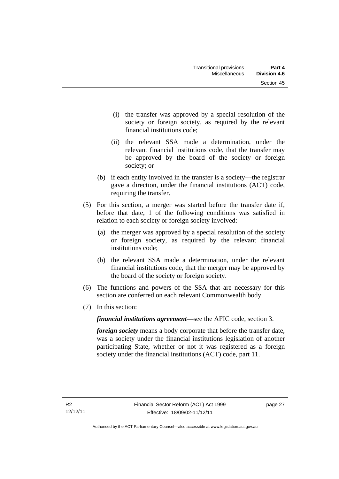- (i) the transfer was approved by a special resolution of the society or foreign society, as required by the relevant financial institutions code;
- (ii) the relevant SSA made a determination, under the relevant financial institutions code, that the transfer may be approved by the board of the society or foreign society; or
- (b) if each entity involved in the transfer is a society—the registrar gave a direction, under the financial institutions (ACT) code, requiring the transfer.
- (5) For this section, a merger was started before the transfer date if, before that date, 1 of the following conditions was satisfied in relation to each society or foreign society involved:
	- (a) the merger was approved by a special resolution of the society or foreign society, as required by the relevant financial institutions code;
	- (b) the relevant SSA made a determination, under the relevant financial institutions code, that the merger may be approved by the board of the society or foreign society.
- (6) The functions and powers of the SSA that are necessary for this section are conferred on each relevant Commonwealth body.
- (7) In this section:

*financial institutions agreement*—see the AFIC code, section 3.

*foreign society* means a body corporate that before the transfer date, was a society under the financial institutions legislation of another participating State, whether or not it was registered as a foreign society under the financial institutions (ACT) code, part 11.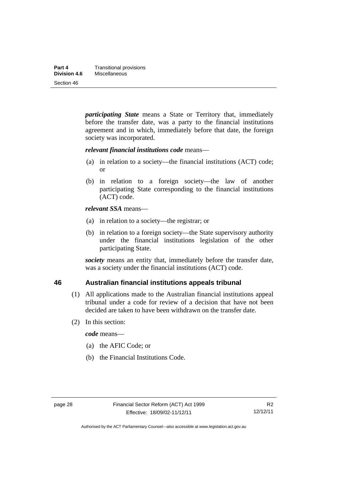*participating State* means a State or Territory that, immediately before the transfer date, was a party to the financial institutions agreement and in which, immediately before that date, the foreign society was incorporated.

#### *relevant financial institutions code* means—

- (a) in relation to a society—the financial institutions (ACT) code; or
- (b) in relation to a foreign society—the law of another participating State corresponding to the financial institutions (ACT) code.

#### *relevant SSA* means—

- (a) in relation to a society—the registrar; or
- (b) in relation to a foreign society—the State supervisory authority under the financial institutions legislation of the other participating State.

*society* means an entity that, immediately before the transfer date, was a society under the financial institutions (ACT) code.

#### <span id="page-33-0"></span>**46 Australian financial institutions appeals tribunal**

- (1) All applications made to the Australian financial institutions appeal tribunal under a code for review of a decision that have not been decided are taken to have been withdrawn on the transfer date.
- (2) In this section:

*code* means—

- (a) the AFIC Code; or
- (b) the Financial Institutions Code.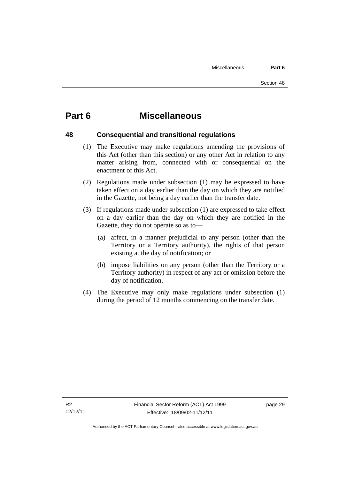# <span id="page-34-0"></span>**Part 6 Miscellaneous**

#### <span id="page-34-1"></span>**48 Consequential and transitional regulations**

- 
- (1) The Executive may make regulations amending the provisions of this Act (other than this section) or any other Act in relation to any matter arising from, connected with or consequential on the enactment of this Act.
- (2) Regulations made under subsection (1) may be expressed to have taken effect on a day earlier than the day on which they are notified in the Gazette, not being a day earlier than the transfer date.
- (3) If regulations made under subsection (1) are expressed to take effect on a day earlier than the day on which they are notified in the Gazette, they do not operate so as to—
	- (a) affect, in a manner prejudicial to any person (other than the Territory or a Territory authority), the rights of that person existing at the day of notification; or
	- (b) impose liabilities on any person (other than the Territory or a Territory authority) in respect of any act or omission before the day of notification.
- (4) The Executive may only make regulations under subsection (1) during the period of 12 months commencing on the transfer date.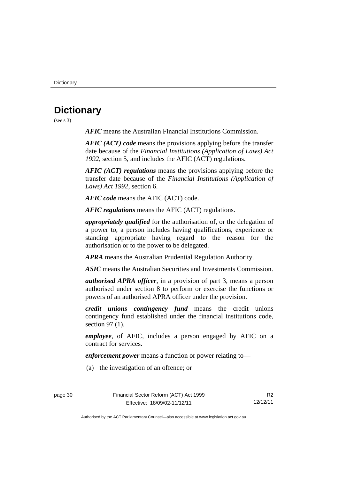**Dictionary** 

# <span id="page-35-0"></span>**Dictionary**

(see s 3)

*AFIC* means the Australian Financial Institutions Commission.

*AFIC (ACT) code* means the provisions applying before the transfer date because of the *Financial Institutions (Application of Laws) Act 1992*, section 5, and includes the AFIC (ACT) regulations.

*AFIC (ACT) regulations* means the provisions applying before the transfer date because of the *Financial Institutions (Application of Laws) Act 1992*, section 6.

*AFIC code* means the AFIC (ACT) code.

*AFIC regulations* means the AFIC (ACT) regulations.

*appropriately qualified* for the authorisation of, or the delegation of a power to, a person includes having qualifications, experience or standing appropriate having regard to the reason for the authorisation or to the power to be delegated.

*APRA* means the Australian Prudential Regulation Authority.

*ASIC* means the Australian Securities and Investments Commission.

*authorised APRA officer*, in a provision of part 3, means a person authorised under section 8 to perform or exercise the functions or powers of an authorised APRA officer under the provision.

*credit unions contingency fund* means the credit unions contingency fund established under the financial institutions code, section 97 (1).

*employee*, of AFIC, includes a person engaged by AFIC on a contract for services.

*enforcement power* means a function or power relating to—

(a) the investigation of an offence; or

page 30 Financial Sector Reform (ACT) Act 1999 Effective: 18/09/02-11/12/11

R2 12/12/11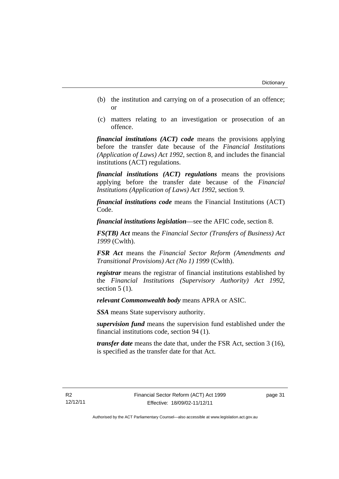- (b) the institution and carrying on of a prosecution of an offence; or
- (c) matters relating to an investigation or prosecution of an offence.

*financial institutions (ACT) code* means the provisions applying before the transfer date because of the *Financial Institutions (Application of Laws) Act 1992*, section 8, and includes the financial institutions (ACT) regulations.

*financial institutions (ACT) regulations* means the provisions applying before the transfer date because of the *Financial Institutions (Application of Laws) Act 1992*, section 9.

*financial institutions code* means the Financial Institutions (ACT) Code.

*financial institutions legislation*—see the AFIC code, section 8.

*FS(TB) Act* means the *Financial Sector (Transfers of Business) Act 1999* (Cwlth).

*FSR Act* means the *Financial Sector Reform (Amendments and Transitional Provisions) Act (No 1) 1999* (Cwlth).

*registrar* means the registrar of financial institutions established by the *Financial Institutions (Supervisory Authority) Act 1992*, section  $5(1)$ .

*relevant Commonwealth body* means APRA or ASIC.

*SSA* means State supervisory authority.

*supervision fund* means the supervision fund established under the financial institutions code, section 94 (1).

*transfer date* means the date that, under the FSR Act, section 3 (16), is specified as the transfer date for that Act.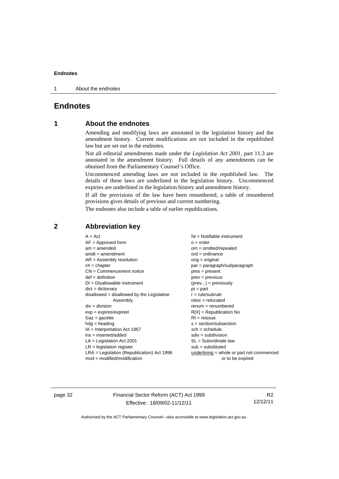1 About the endnotes

## <span id="page-37-0"></span>**Endnotes**

#### <span id="page-37-1"></span>**1 About the endnotes**

Amending and modifying laws are annotated in the legislation history and the amendment history. Current modifications are not included in the republished law but are set out in the endnotes.

Not all editorial amendments made under the *Legislation Act 2001*, part 11.3 are annotated in the amendment history. Full details of any amendments can be obtained from the Parliamentary Counsel's Office.

Uncommenced amending laws are not included in the republished law. The details of these laws are underlined in the legislation history. Uncommenced expiries are underlined in the legislation history and amendment history.

If all the provisions of the law have been renumbered, a table of renumbered provisions gives details of previous and current numbering.

The endnotes also include a table of earlier republications.

| $A = Act$<br>$AF =$ Approved form<br>$am = amended$<br>$amdt = amendment$<br>$AR = Assembly resolution$<br>$ch = chapter$<br>$CN =$ Commencement notice<br>$def = definition$<br>$DI = Disallowable instrument$<br>$dict = dictionary$<br>$disallowed = disallowed by the Legislative$<br>Assembly<br>$div = division$<br>$exp = expires/expired$<br>$Gaz = gazette$<br>$hdg =$ heading<br>$IA = Interpretation Act 1967$<br>ins = inserted/added<br>$LA =$ Legislation Act 2001<br>$LR =$ legislation register | NI = Notifiable instrument<br>$o = order$<br>$om = omitted/repealed$<br>$ord = ordinance$<br>orig = original<br>par = paragraph/subparagraph<br>$pres = present$<br>$prev = previous$<br>$(\text{prev}) = \text{previously}$<br>$pt = part$<br>$r = rule/subrule$<br>$reloc = relocated$<br>$remum = renumbered$<br>$R[X]$ = Republication No<br>$RI = reissue$<br>$s = section/subsection$<br>$sch = schedule$<br>$sdiv = subdivision$<br>$SL = Subordinate$ law<br>$sub =$ substituted |
|-----------------------------------------------------------------------------------------------------------------------------------------------------------------------------------------------------------------------------------------------------------------------------------------------------------------------------------------------------------------------------------------------------------------------------------------------------------------------------------------------------------------|------------------------------------------------------------------------------------------------------------------------------------------------------------------------------------------------------------------------------------------------------------------------------------------------------------------------------------------------------------------------------------------------------------------------------------------------------------------------------------------|
| $LRA =$ Legislation (Republication) Act 1996                                                                                                                                                                                                                                                                                                                                                                                                                                                                    | $underlining = whole or part not commenced$                                                                                                                                                                                                                                                                                                                                                                                                                                              |
| $mod = modified/modification$                                                                                                                                                                                                                                                                                                                                                                                                                                                                                   | or to be expired                                                                                                                                                                                                                                                                                                                                                                                                                                                                         |
|                                                                                                                                                                                                                                                                                                                                                                                                                                                                                                                 |                                                                                                                                                                                                                                                                                                                                                                                                                                                                                          |

#### <span id="page-37-2"></span>**2 Abbreviation key**

page 32 Financial Sector Reform (ACT) Act 1999 Effective: 18/09/02-11/12/11

R2 12/12/11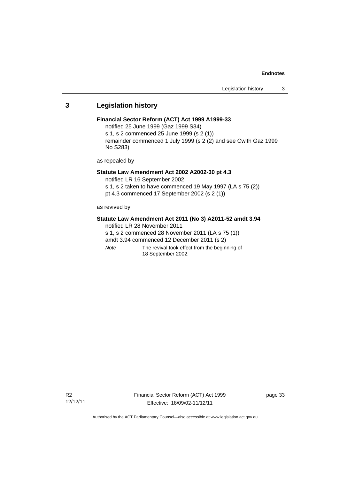#### <span id="page-38-0"></span>**3 Legislation history**

#### **Financial Sector Reform (ACT) Act 1999 A1999-33**

notified 25 June 1999 (Gaz 1999 S34)

s 1, s 2 commenced 25 June 1999 (s 2 (1))

remainder commenced 1 July 1999 (s 2 (2) and see Cwlth Gaz 1999 No S283)

as repealed by

#### **Statute Law Amendment Act 2002 A2002-30 pt 4.3**

notified LR 16 September 2002

s 1, s 2 taken to have commenced 19 May 1997 (LA s 75 (2))

pt 4.3 commenced 17 September 2002 (s 2 (1))

as revived by

#### **Statute Law Amendment Act 2011 (No 3) A2011-52 amdt 3.94**

notified LR 28 November 2011

s 1, s 2 commenced 28 November 2011 (LA s 75 (1))

amdt 3.94 commenced 12 December 2011 (s 2)

*Note* The revival took effect from the beginning of 18 September 2002.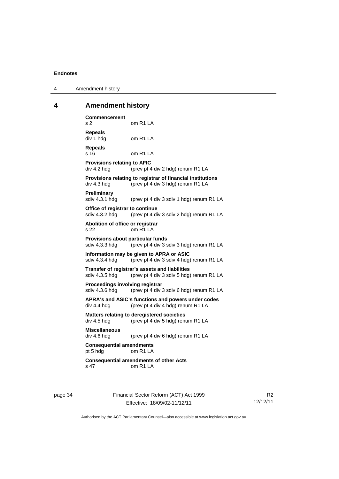| Amendment history<br>$\overline{4}$ |  |
|-------------------------------------|--|
|-------------------------------------|--|

# <span id="page-39-0"></span>**4 Amendment history**

| <b>Commencement</b><br>s 2                          | om R1 LA                                                                                        |
|-----------------------------------------------------|-------------------------------------------------------------------------------------------------|
| <b>Repeals</b><br>div 1 hdg                         | om R1 LA                                                                                        |
| <b>Repeals</b><br>s 16                              | om R1 LA                                                                                        |
| <b>Provisions relating to AFIC</b><br>div 4.2 hdg   | (prev pt 4 div 2 hdg) renum R1 LA                                                               |
| div 4.3 hdg                                         | Provisions relating to registrar of financial institutions<br>(prev pt 4 div 3 hdg) renum R1 LA |
| Preliminary<br>sdiv 4.3.1 hdg                       | (prev pt 4 div 3 sdiv 1 hdg) renum R1 LA                                                        |
| Office of registrar to continue<br>sdiv 4.3.2 hdg   | (prev pt 4 div 3 sdiv 2 hdg) renum R1 LA                                                        |
| Abolition of office or registrar<br>s 22            | om R1 LA                                                                                        |
| Provisions about particular funds<br>sdiv 4.3.3 hdg | (prev pt 4 div 3 sdiv 3 hdg) renum R1 LA                                                        |
| sdiv 4.3.4 hdg                                      | Information may be given to APRA or ASIC<br>(prev pt 4 div 3 sdiv 4 hdg) renum R1 LA            |
| sdiv 4.3.5 hdg                                      | Transfer of registrar's assets and liabilities<br>(prev pt 4 div 3 sdiv 5 hdg) renum R1 LA      |
| Proceedings involving registrar<br>sdiv 4.3.6 hdg   | (prev pt 4 div 3 sdiv 6 hdg) renum R1 LA                                                        |
| div 4.4 hdg                                         | APRA's and ASIC's functions and powers under codes<br>(prev pt 4 div 4 hdg) renum R1 LA         |
| div 4.5 hdg                                         | <b>Matters relating to deregistered societies</b><br>(prev pt 4 div 5 hdg) renum R1 LA          |
| <b>Miscellaneous</b><br>div 4.6 hdg                 | (prev pt 4 div 6 hdg) renum R1 LA                                                               |
| <b>Consequential amendments</b><br>pt 5 hdg         | omR1LA                                                                                          |
| s 47                                                | <b>Consequential amendments of other Acts</b><br>om R1 LA                                       |

page 34 Financial Sector Reform (ACT) Act 1999 Effective: 18/09/02-11/12/11

R2 12/12/11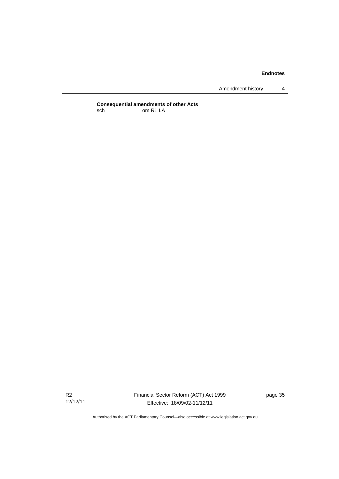Amendment history 4

**Consequential amendments of other Acts**  sch om R1 LA

R2 12/12/11 Financial Sector Reform (ACT) Act 1999 Effective: 18/09/02-11/12/11

page 35